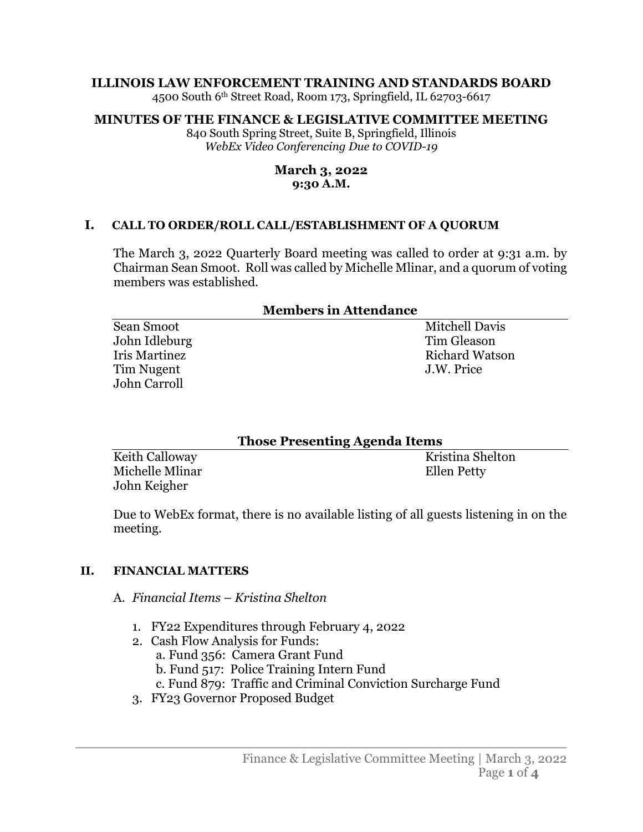### **ILLINOIS LAW ENFORCEMENT TRAINING AND STANDARDS BOARD**

4500 South 6th Street Road, Room 173, Springfield, IL 62703-6617

## **MINUTES OF THE FINANCE & LEGISLATIVE COMMITTEE MEETING**

840 South Spring Street, Suite B, Springfield, Illinois *WebEx Video Conferencing Due to COVID-19*

#### **March 3, 2022 9:30 A.M.**

### **I. CALL TO ORDER/ROLL CALL/ESTABLISHMENT OF A QUORUM**

The March 3, 2022 Quarterly Board meeting was called to order at 9:31 a.m. by Chairman Sean Smoot. Roll was called by Michelle Mlinar, and a quorum of voting members was established.

#### **Members in Attendance**

| Sean Smoot    | Mitchell Davis        |
|---------------|-----------------------|
| John Idleburg | Tim Gleason           |
| Iris Martinez | <b>Richard Watson</b> |
| Tim Nugent    | J.W. Price            |
| John Carroll  |                       |
|               |                       |

| <b>Those Presenting Agenda Items</b> |                  |
|--------------------------------------|------------------|
| Keith Calloway                       | Kristina Shelton |
| Michelle Mlinar                      | Ellen Petty      |
| John Keigher                         |                  |

Due to WebEx format, there is no available listing of all guests listening in on the meeting.

## **II. FINANCIAL MATTERS**

### A. *Financial Items* – *Kristina Shelton*

- 1. FY22 Expenditures through February 4, 2022
- 2. Cash Flow Analysis for Funds:
	- a. Fund 356: Camera Grant Fund
	- b. Fund 517: Police Training Intern Fund
	- c. Fund 879: Traffic and Criminal Conviction Surcharge Fund
- 3. FY23 Governor Proposed Budget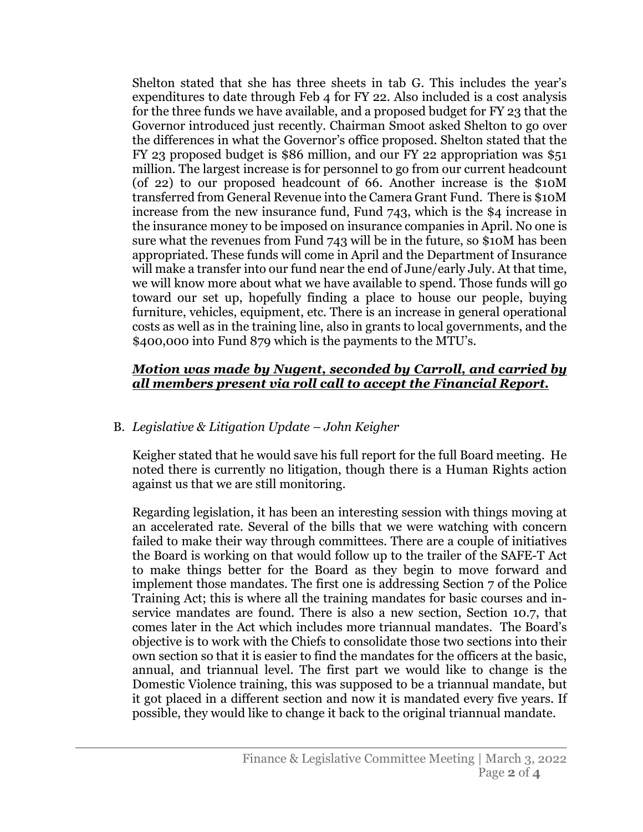Shelton stated that she has three sheets in tab G. This includes the year's expenditures to date through Feb 4 for FY 22. Also included is a cost analysis for the three funds we have available, and a proposed budget for FY 23 that the Governor introduced just recently. Chairman Smoot asked Shelton to go over the differences in what the Governor's office proposed. Shelton stated that the FY 23 proposed budget is \$86 million, and our FY 22 appropriation was \$51 million. The largest increase is for personnel to go from our current headcount (of 22) to our proposed headcount of 66. Another increase is the \$10M transferred from General Revenue into the Camera Grant Fund. There is \$10M increase from the new insurance fund, Fund 743, which is the \$4 increase in the insurance money to be imposed on insurance companies in April. No one is sure what the revenues from Fund 743 will be in the future, so \$10M has been appropriated. These funds will come in April and the Department of Insurance will make a transfer into our fund near the end of June/early July. At that time, we will know more about what we have available to spend. Those funds will go toward our set up, hopefully finding a place to house our people, buying furniture, vehicles, equipment, etc. There is an increase in general operational costs as well as in the training line, also in grants to local governments, and the \$400,000 into Fund 879 which is the payments to the MTU's.

## *Motion was made by Nugent, seconded by Carroll, and carried by all members present via roll call to accept the Financial Report.*

# B. *Legislative & Litigation Update – John Keigher*

Keigher stated that he would save his full report for the full Board meeting. He noted there is currently no litigation, though there is a Human Rights action against us that we are still monitoring.

Regarding legislation, it has been an interesting session with things moving at an accelerated rate. Several of the bills that we were watching with concern failed to make their way through committees. There are a couple of initiatives the Board is working on that would follow up to the trailer of the SAFE-T Act to make things better for the Board as they begin to move forward and implement those mandates. The first one is addressing Section 7 of the Police Training Act; this is where all the training mandates for basic courses and inservice mandates are found. There is also a new section, Section 10.7, that comes later in the Act which includes more triannual mandates. The Board's objective is to work with the Chiefs to consolidate those two sections into their own section so that it is easier to find the mandates for the officers at the basic, annual, and triannual level. The first part we would like to change is the Domestic Violence training, this was supposed to be a triannual mandate, but it got placed in a different section and now it is mandated every five years. If possible, they would like to change it back to the original triannual mandate.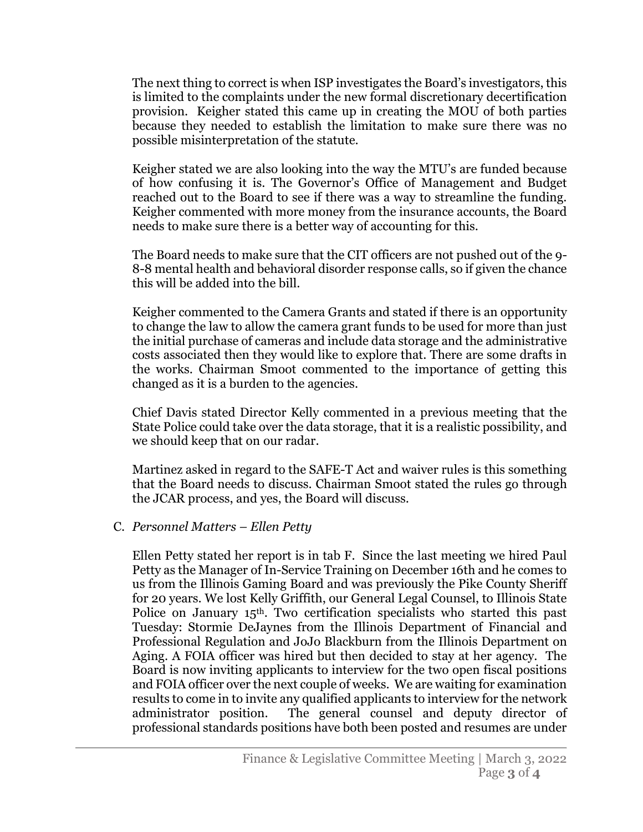The next thing to correct is when ISP investigates the Board's investigators, this is limited to the complaints under the new formal discretionary decertification provision. Keigher stated this came up in creating the MOU of both parties because they needed to establish the limitation to make sure there was no possible misinterpretation of the statute.

Keigher stated we are also looking into the way the MTU's are funded because of how confusing it is. The Governor's Office of Management and Budget reached out to the Board to see if there was a way to streamline the funding. Keigher commented with more money from the insurance accounts, the Board needs to make sure there is a better way of accounting for this.

The Board needs to make sure that the CIT officers are not pushed out of the 9- 8-8 mental health and behavioral disorder response calls, so if given the chance this will be added into the bill.

Keigher commented to the Camera Grants and stated if there is an opportunity to change the law to allow the camera grant funds to be used for more than just the initial purchase of cameras and include data storage and the administrative costs associated then they would like to explore that. There are some drafts in the works. Chairman Smoot commented to the importance of getting this changed as it is a burden to the agencies.

Chief Davis stated Director Kelly commented in a previous meeting that the State Police could take over the data storage, that it is a realistic possibility, and we should keep that on our radar.

Martinez asked in regard to the SAFE-T Act and waiver rules is this something that the Board needs to discuss. Chairman Smoot stated the rules go through the JCAR process, and yes, the Board will discuss.

## C. *Personnel Matters – Ellen Petty*

Ellen Petty stated her report is in tab F. Since the last meeting we hired Paul Petty as the Manager of In-Service Training on December 16th and he comes to us from the Illinois Gaming Board and was previously the Pike County Sheriff for 20 years. We lost Kelly Griffith, our General Legal Counsel, to Illinois State Police on January 15th. Two certification specialists who started this past Tuesday: Stormie DeJaynes from the Illinois Department of Financial and Professional Regulation and JoJo Blackburn from the Illinois Department on Aging. A FOIA officer was hired but then decided to stay at her agency. The Board is now inviting applicants to interview for the two open fiscal positions and FOIA officer over the next couple of weeks. We are waiting for examination results to come in to invite any qualified applicants to interview for the network administrator position. The general counsel and deputy director of professional standards positions have both been posted and resumes are under